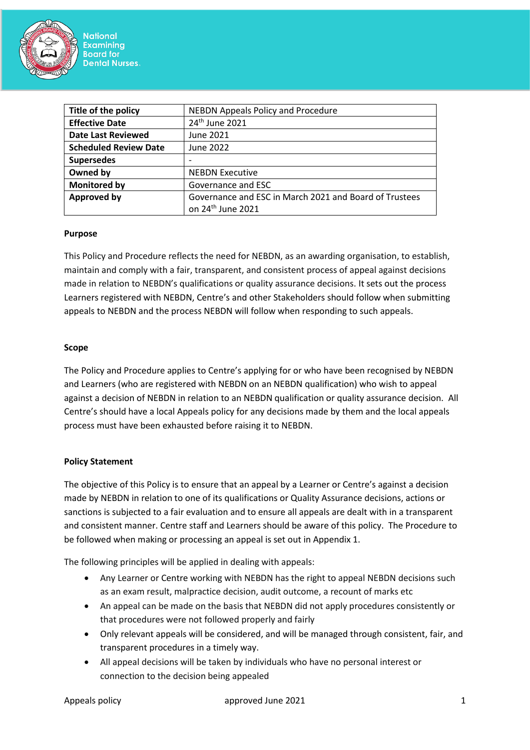

| Title of the policy          | <b>NEBDN Appeals Policy and Procedure</b>              |  |  |
|------------------------------|--------------------------------------------------------|--|--|
| <b>Effective Date</b>        | 24 <sup>th</sup> June 2021                             |  |  |
| <b>Date Last Reviewed</b>    | June 2021                                              |  |  |
| <b>Scheduled Review Date</b> | June 2022                                              |  |  |
| <b>Supersedes</b>            |                                                        |  |  |
| Owned by                     | <b>NEBDN Executive</b>                                 |  |  |
| <b>Monitored by</b>          | Governance and ESC                                     |  |  |
| <b>Approved by</b>           | Governance and ESC in March 2021 and Board of Trustees |  |  |
|                              | on 24 <sup>th</sup> June 2021                          |  |  |

#### **Purpose**

This Policy and Procedure reflects the need for NEBDN, as an awarding organisation, to establish, maintain and comply with a fair, transparent, and consistent process of appeal against decisions made in relation to NEBDN's qualifications or quality assurance decisions. It sets out the process Learners registered with NEBDN, Centre's and other Stakeholders should follow when submitting appeals to NEBDN and the process NEBDN will follow when responding to such appeals.

#### **Scope**

The Policy and Procedure applies to Centre's applying for or who have been recognised by NEBDN and Learners (who are registered with NEBDN on an NEBDN qualification) who wish to appeal against a decision of NEBDN in relation to an NEBDN qualification or quality assurance decision. All Centre's should have a local Appeals policy for any decisions made by them and the local appeals process must have been exhausted before raising it to NEBDN.

#### **Policy Statement**

The objective of this Policy is to ensure that an appeal by a Learner or Centre's against a decision made by NEBDN in relation to one of its qualifications or Quality Assurance decisions, actions or sanctions is subjected to a fair evaluation and to ensure all appeals are dealt with in a transparent and consistent manner. Centre staff and Learners should be aware of this policy. The Procedure to be followed when making or processing an appeal is set out in Appendix 1.

The following principles will be applied in dealing with appeals:

- Any Learner or Centre working with NEBDN has the right to appeal NEBDN decisions such as an exam result, malpractice decision, audit outcome, a recount of marks etc
- An appeal can be made on the basis that NEBDN did not apply procedures consistently or that procedures were not followed properly and fairly
- Only relevant appeals will be considered, and will be managed through consistent, fair, and transparent procedures in a timely way.
- All appeal decisions will be taken by individuals who have no personal interest or connection to the decision being appealed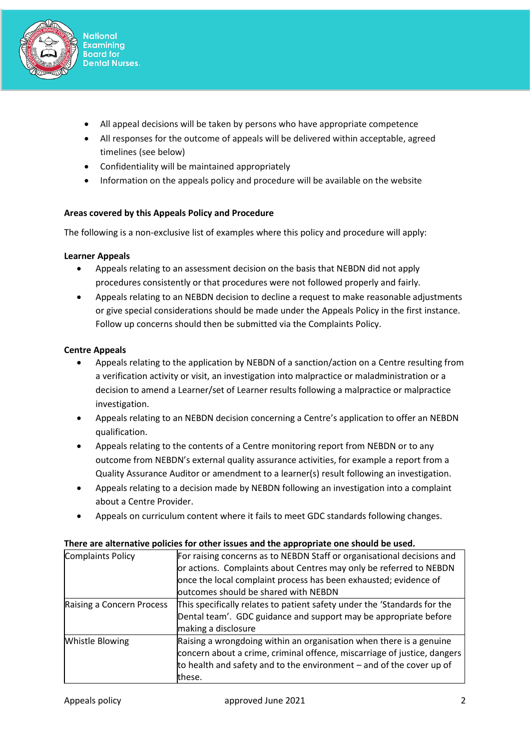

- All appeal decisions will be taken by persons who have appropriate competence
- All responses for the outcome of appeals will be delivered within acceptable, agreed timelines (see below)
- Confidentiality will be maintained appropriately
- Information on the appeals policy and procedure will be available on the website

# **Areas covered by this Appeals Policy and Procedure**

The following is a non-exclusive list of examples where this policy and procedure will apply:

### **Learner Appeals**

- Appeals relating to an assessment decision on the basis that NEBDN did not apply procedures consistently or that procedures were not followed properly and fairly.
- Appeals relating to an NEBDN decision to decline a request to make reasonable adjustments or give special considerations should be made under the Appeals Policy in the first instance. Follow up concerns should then be submitted via the Complaints Policy.

# **Centre Appeals**

- Appeals relating to the application by NEBDN of a sanction/action on a Centre resulting from a verification activity or visit, an investigation into malpractice or maladministration or a decision to amend a Learner/set of Learner results following a malpractice or malpractice investigation.
- Appeals relating to an NEBDN decision concerning a Centre's application to offer an NEBDN qualification.
- Appeals relating to the contents of a Centre monitoring report from NEBDN or to any outcome from NEBDN's external quality assurance activities, for example a report from a Quality Assurance Auditor or amendment to a learner(s) result following an investigation.
- Appeals relating to a decision made by NEBDN following an investigation into a complaint about a Centre Provider.
- Appeals on curriculum content where it fails to meet GDC standards following changes.

#### **There are alternative policies for other issues and the appropriate one should be used.**

| <b>Complaints Policy</b>  | For raising concerns as to NEBDN Staff or organisational decisions and   |
|---------------------------|--------------------------------------------------------------------------|
|                           | or actions. Complaints about Centres may only be referred to NEBDN       |
|                           | once the local complaint process has been exhausted; evidence of         |
|                           | outcomes should be shared with NEBDN                                     |
| Raising a Concern Process | This specifically relates to patient safety under the 'Standards for the |
|                           | Dental team'. GDC guidance and support may be appropriate before         |
|                           | making a disclosure                                                      |
| <b>Whistle Blowing</b>    | Raising a wrongdoing within an organisation when there is a genuine      |
|                           | concern about a crime, criminal offence, miscarriage of justice, dangers |
|                           | to health and safety and to the environment $-$ and of the cover up of   |
|                           | these.                                                                   |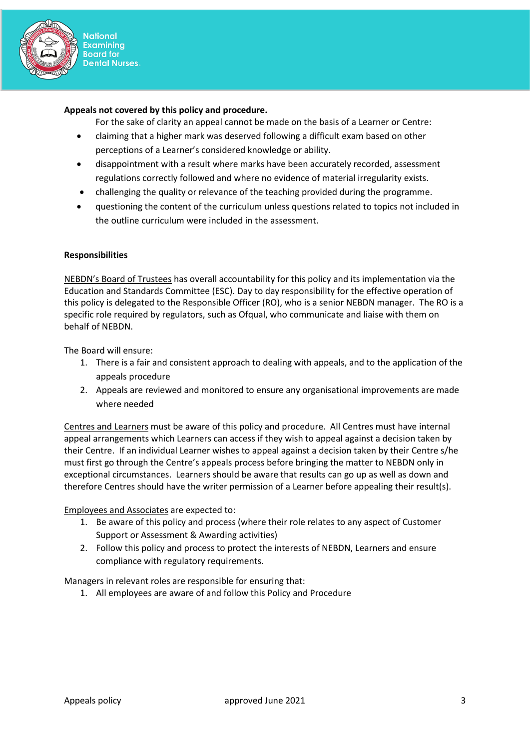

#### **Appeals not covered by this policy and procedure.**

For the sake of clarity an appeal cannot be made on the basis of a Learner or Centre:

- claiming that a higher mark was deserved following a difficult exam based on other perceptions of a Learner's considered knowledge or ability.
- disappointment with a result where marks have been accurately recorded, assessment regulations correctly followed and where no evidence of material irregularity exists.
- challenging the quality or relevance of the teaching provided during the programme.
- questioning the content of the curriculum unless questions related to topics not included in the outline curriculum were included in the assessment.

#### **Responsibilities**

NEBDN's Board of Trustees has overall accountability for this policy and its implementation via the Education and Standards Committee (ESC). Day to day responsibility for the effective operation of this policy is delegated to the Responsible Officer (RO), who is a senior NEBDN manager. The RO is a specific role required by regulators, such as Ofqual, who communicate and liaise with them on behalf of NEBDN.

The Board will ensure:

- 1. There is a fair and consistent approach to dealing with appeals, and to the application of the appeals procedure
- 2. Appeals are reviewed and monitored to ensure any organisational improvements are made where needed

Centres and Learners must be aware of this policy and procedure. All Centres must have internal appeal arrangements which Learners can access if they wish to appeal against a decision taken by their Centre. If an individual Learner wishes to appeal against a decision taken by their Centre s/he must first go through the Centre's appeals process before bringing the matter to NEBDN only in exceptional circumstances. Learners should be aware that results can go up as well as down and therefore Centres should have the writer permission of a Learner before appealing their result(s).

Employees and Associates are expected to:

- 1. Be aware of this policy and process (where their role relates to any aspect of Customer Support or Assessment & Awarding activities)
- 2. Follow this policy and process to protect the interests of NEBDN, Learners and ensure compliance with regulatory requirements.

Managers in relevant roles are responsible for ensuring that:

1. All employees are aware of and follow this Policy and Procedure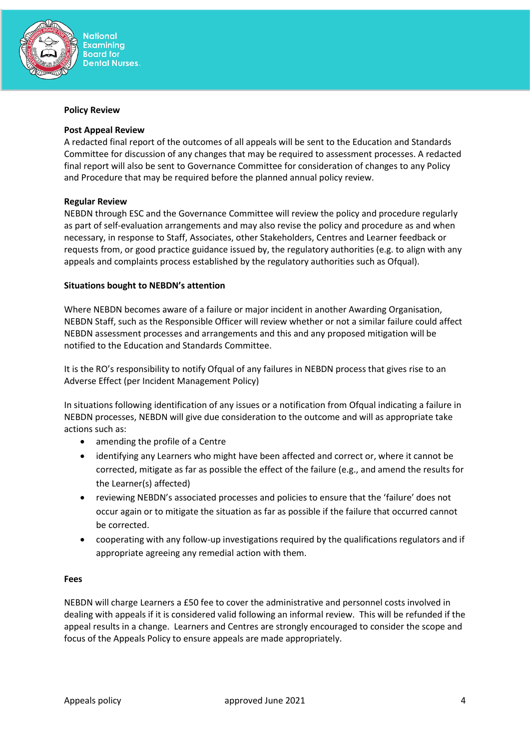

#### **Policy Review**

#### **Post Appeal Review**

A redacted final report of the outcomes of all appeals will be sent to the Education and Standards Committee for discussion of any changes that may be required to assessment processes. A redacted final report will also be sent to Governance Committee for consideration of changes to any Policy and Procedure that may be required before the planned annual policy review.

#### **Regular Review**

NEBDN through ESC and the Governance Committee will review the policy and procedure regularly as part of self-evaluation arrangements and may also revise the policy and procedure as and when necessary, in response to Staff, Associates, other Stakeholders, Centres and Learner feedback or requests from, or good practice guidance issued by, the regulatory authorities (e.g. to align with any appeals and complaints process established by the regulatory authorities such as Ofqual).

#### **Situations bought to NEBDN's attention**

Where NEBDN becomes aware of a failure or major incident in another Awarding Organisation, NEBDN Staff, such as the Responsible Officer will review whether or not a similar failure could affect NEBDN assessment processes and arrangements and this and any proposed mitigation will be notified to the Education and Standards Committee.

It is the RO's responsibility to notify Ofqual of any failures in NEBDN process that gives rise to an Adverse Effect (per Incident Management Policy)

In situations following identification of any issues or a notification from Ofqual indicating a failure in NEBDN processes, NEBDN will give due consideration to the outcome and will as appropriate take actions such as:

- amending the profile of a Centre
- identifying any Learners who might have been affected and correct or, where it cannot be corrected, mitigate as far as possible the effect of the failure (e.g., and amend the results for the Learner(s) affected)
- reviewing NEBDN's associated processes and policies to ensure that the 'failure' does not occur again or to mitigate the situation as far as possible if the failure that occurred cannot be corrected.
- cooperating with any follow-up investigations required by the qualifications regulators and if appropriate agreeing any remedial action with them.

#### **Fees**

NEBDN will charge Learners a £50 fee to cover the administrative and personnel costs involved in dealing with appeals if it is considered valid following an informal review. This will be refunded if the appeal results in a change. Learners and Centres are strongly encouraged to consider the scope and focus of the Appeals Policy to ensure appeals are made appropriately.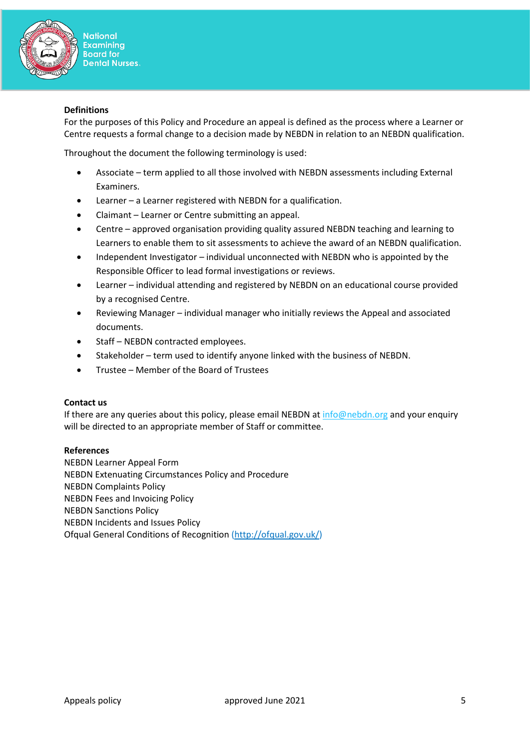

#### **Definitions**

For the purposes of this Policy and Procedure an appeal is defined as the process where a Learner or Centre requests a formal change to a decision made by NEBDN in relation to an NEBDN qualification.

Throughout the document the following terminology is used:

- Associate term applied to all those involved with NEBDN assessments including External Examiners.
- Learner a Learner registered with NEBDN for a qualification.
- Claimant Learner or Centre submitting an appeal.
- Centre approved organisation providing quality assured NEBDN teaching and learning to Learners to enable them to sit assessments to achieve the award of an NEBDN qualification.
- Independent Investigator individual unconnected with NEBDN who is appointed by the Responsible Officer to lead formal investigations or reviews.
- Learner individual attending and registered by NEBDN on an educational course provided by a recognised Centre.
- Reviewing Manager individual manager who initially reviews the Appeal and associated documents.
- Staff NEBDN contracted employees.
- Stakeholder term used to identify anyone linked with the business of NEBDN.
- Trustee Member of the Board of Trustees

#### **Contact us**

If there are any queries about this policy, please email NEBDN at  $info@nebdn.org$  and your enquiry will be directed to an appropriate member of Staff or committee.

#### **References**

NEBDN Learner Appeal Form NEBDN Extenuating Circumstances Policy and Procedure NEBDN Complaints Policy NEBDN Fees and Invoicing Policy NEBDN Sanctions Policy NEBDN Incidents and Issues Policy Ofqual General Conditions of Recognition [\(http://ofqual.gov.uk/\)](http://ofqual.gov.uk/)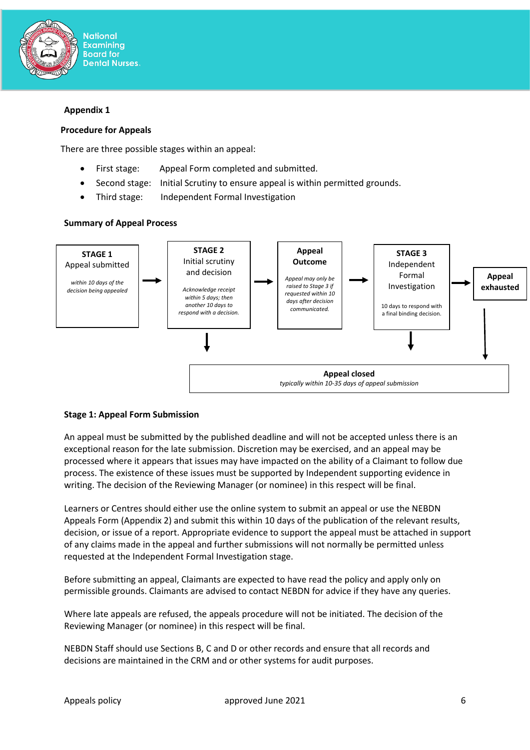

#### **Appendix 1**

#### **Procedure for Appeals**

There are three possible stages within an appeal:

- First stage: Appeal Form completed and submitted.
- Second stage: Initial Scrutiny to ensure appeal is within permitted grounds.
- Third stage: Independent Formal Investigation

#### **Summary of Appeal Process**



#### **Stage 1: Appeal Form Submission**

An appeal must be submitted by the published deadline and will not be accepted unless there is an exceptional reason for the late submission. Discretion may be exercised, and an appeal may be processed where it appears that issues may have impacted on the ability of a Claimant to follow due process. The existence of these issues must be supported by Independent supporting evidence in writing. The decision of the Reviewing Manager (or nominee) in this respect will be final.

Learners or Centres should either use the online system to submit an appeal or use the NEBDN Appeals Form (Appendix 2) and submit this within 10 days of the publication of the relevant results, decision, or issue of a report. Appropriate evidence to support the appeal must be attached in support of any claims made in the appeal and further submissions will not normally be permitted unless requested at the Independent Formal Investigation stage.

Before submitting an appeal, Claimants are expected to have read the policy and apply only on permissible grounds. Claimants are advised to contact NEBDN for advice if they have any queries.

Where late appeals are refused, the appeals procedure will not be initiated. The decision of the Reviewing Manager (or nominee) in this respect will be final.

NEBDN Staff should use Sections B, C and D or other records and ensure that all records and decisions are maintained in the CRM and or other systems for audit purposes.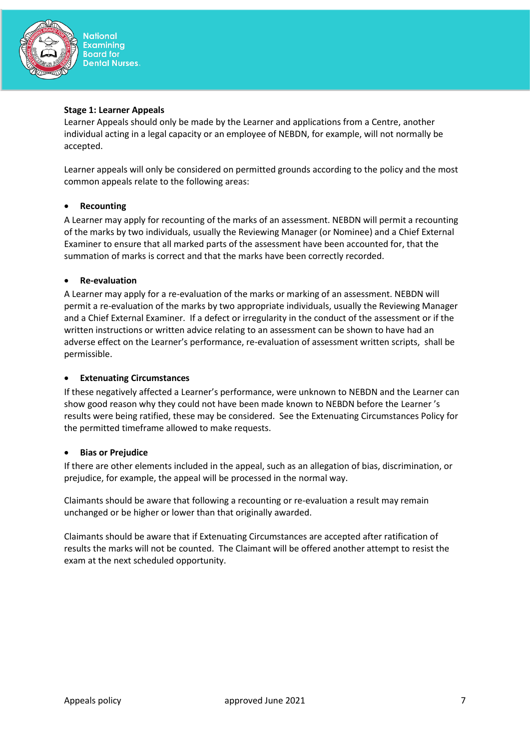

#### **Stage 1: Learner Appeals**

Learner Appeals should only be made by the Learner and applications from a Centre, another individual acting in a legal capacity or an employee of NEBDN, for example, will not normally be accepted.

Learner appeals will only be considered on permitted grounds according to the policy and the most common appeals relate to the following areas:

### • **Recounting**

A Learner may apply for recounting of the marks of an assessment. NEBDN will permit a recounting of the marks by two individuals, usually the Reviewing Manager (or Nominee) and a Chief External Examiner to ensure that all marked parts of the assessment have been accounted for, that the summation of marks is correct and that the marks have been correctly recorded.

### • **Re-evaluation**

A Learner may apply for a re-evaluation of the marks or marking of an assessment. NEBDN will permit a re-evaluation of the marks by two appropriate individuals, usually the Reviewing Manager and a Chief External Examiner. If a defect or irregularity in the conduct of the assessment or if the written instructions or written advice relating to an assessment can be shown to have had an adverse effect on the Learner's performance, re-evaluation of assessment written scripts, shall be permissible.

#### • **Extenuating Circumstances**

If these negatively affected a Learner's performance, were unknown to NEBDN and the Learner can show good reason why they could not have been made known to NEBDN before the Learner 's results were being ratified, these may be considered. See the Extenuating Circumstances Policy for the permitted timeframe allowed to make requests.

#### • **Bias or Prejudice**

If there are other elements included in the appeal, such as an allegation of bias, discrimination, or prejudice, for example, the appeal will be processed in the normal way.

Claimants should be aware that following a recounting or re-evaluation a result may remain unchanged or be higher or lower than that originally awarded.

Claimants should be aware that if Extenuating Circumstances are accepted after ratification of results the marks will not be counted. The Claimant will be offered another attempt to resist the exam at the next scheduled opportunity.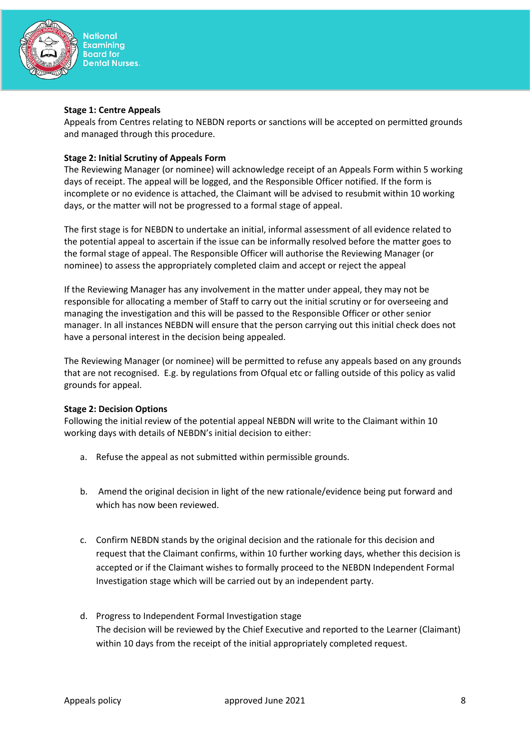

#### **Stage 1: Centre Appeals**

Appeals from Centres relating to NEBDN reports or sanctions will be accepted on permitted grounds and managed through this procedure.

## **Stage 2: Initial Scrutiny of Appeals Form**

The Reviewing Manager (or nominee) will acknowledge receipt of an Appeals Form within 5 working days of receipt. The appeal will be logged, and the Responsible Officer notified. If the form is incomplete or no evidence is attached, the Claimant will be advised to resubmit within 10 working days, or the matter will not be progressed to a formal stage of appeal.

The first stage is for NEBDN to undertake an initial, informal assessment of all evidence related to the potential appeal to ascertain if the issue can be informally resolved before the matter goes to the formal stage of appeal. The Responsible Officer will authorise the Reviewing Manager (or nominee) to assess the appropriately completed claim and accept or reject the appeal

If the Reviewing Manager has any involvement in the matter under appeal, they may not be responsible for allocating a member of Staff to carry out the initial scrutiny or for overseeing and managing the investigation and this will be passed to the Responsible Officer or other senior manager. In all instances NEBDN will ensure that the person carrying out this initial check does not have a personal interest in the decision being appealed.

The Reviewing Manager (or nominee) will be permitted to refuse any appeals based on any grounds that are not recognised. E.g. by regulations from Ofqual etc or falling outside of this policy as valid grounds for appeal.

#### **Stage 2: Decision Options**

Following the initial review of the potential appeal NEBDN will write to the Claimant within 10 working days with details of NEBDN's initial decision to either:

- a. Refuse the appeal as not submitted within permissible grounds.
- b. Amend the original decision in light of the new rationale/evidence being put forward and which has now been reviewed.
- c. Confirm NEBDN stands by the original decision and the rationale for this decision and request that the Claimant confirms, within 10 further working days, whether this decision is accepted or if the Claimant wishes to formally proceed to the NEBDN Independent Formal Investigation stage which will be carried out by an independent party.
- d. Progress to Independent Formal Investigation stage The decision will be reviewed by the Chief Executive and reported to the Learner (Claimant) within 10 days from the receipt of the initial appropriately completed request.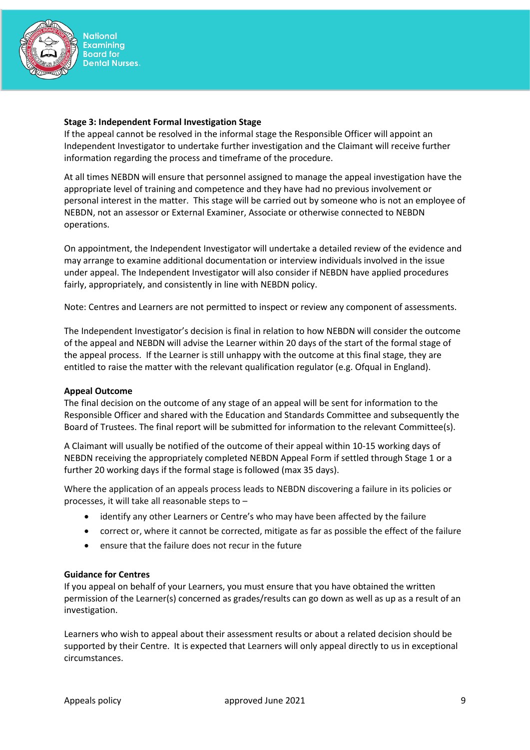

#### **Stage 3: Independent Formal Investigation Stage**

If the appeal cannot be resolved in the informal stage the Responsible Officer will appoint an Independent Investigator to undertake further investigation and the Claimant will receive further information regarding the process and timeframe of the procedure.

At all times NEBDN will ensure that personnel assigned to manage the appeal investigation have the appropriate level of training and competence and they have had no previous involvement or personal interest in the matter. This stage will be carried out by someone who is not an employee of NEBDN, not an assessor or External Examiner, Associate or otherwise connected to NEBDN operations.

On appointment, the Independent Investigator will undertake a detailed review of the evidence and may arrange to examine additional documentation or interview individuals involved in the issue under appeal. The Independent Investigator will also consider if NEBDN have applied procedures fairly, appropriately, and consistently in line with NEBDN policy.

Note: Centres and Learners are not permitted to inspect or review any component of assessments.

The Independent Investigator's decision is final in relation to how NEBDN will consider the outcome of the appeal and NEBDN will advise the Learner within 20 days of the start of the formal stage of the appeal process. If the Learner is still unhappy with the outcome at this final stage, they are entitled to raise the matter with the relevant qualification regulator (e.g. Ofqual in England).

# **Appeal Outcome**

The final decision on the outcome of any stage of an appeal will be sent for information to the Responsible Officer and shared with the Education and Standards Committee and subsequently the Board of Trustees. The final report will be submitted for information to the relevant Committee(s).

A Claimant will usually be notified of the outcome of their appeal within 10-15 working days of NEBDN receiving the appropriately completed NEBDN Appeal Form if settled through Stage 1 or a further 20 working days if the formal stage is followed (max 35 days).

Where the application of an appeals process leads to NEBDN discovering a failure in its policies or processes, it will take all reasonable steps to –

- identify any other Learners or Centre's who may have been affected by the failure
- correct or, where it cannot be corrected, mitigate as far as possible the effect of the failure
- ensure that the failure does not recur in the future

#### **Guidance for Centres**

If you appeal on behalf of your Learners, you must ensure that you have obtained the written permission of the Learner(s) concerned as grades/results can go down as well as up as a result of an investigation.

Learners who wish to appeal about their assessment results or about a related decision should be supported by their Centre. It is expected that Learners will only appeal directly to us in exceptional circumstances.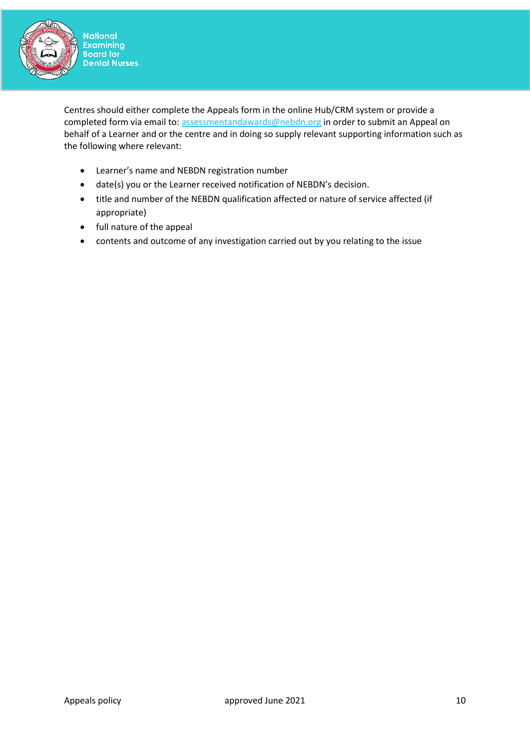

**National**<br>Examining Board for<br>Dental Nurses

Centres should either complete the Appeals form in the online Hub/CRM system or provide a completed form via email to: [assessmentandawards@nebdn.org](mailto:assessmentandawards@nebdn.org) in order to submit an Appeal on behalf of a Learner and or the centre and in doing so supply relevant supporting information such as the following where relevant:

- Learner's name and NEBDN registration number
- date(s) you or the Learner received notification of NEBDN's decision.
- title and number of the NEBDN qualification affected or nature of service affected (if appropriate)
- full nature of the appeal
- contents and outcome of any investigation carried out by you relating to the issue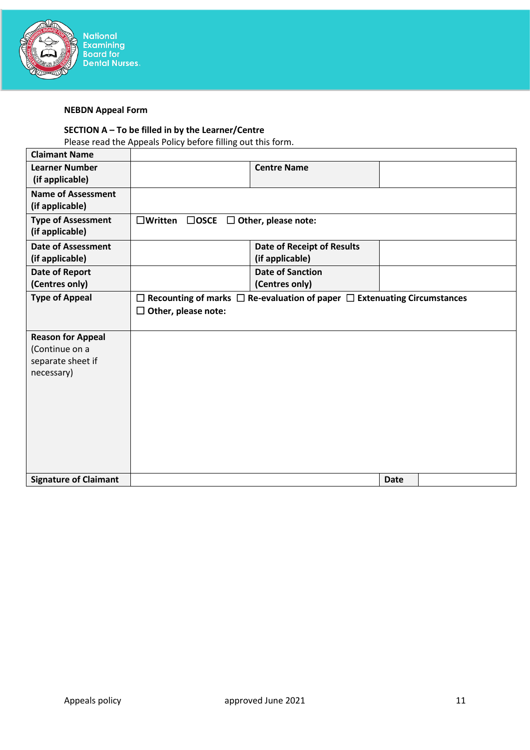

# **NEBDN Appeal Form**

# **SECTION A – To be filled in by the Learner/Centre**

Please read the Appeals Policy before filling out this form.

| <b>Signature of Claimant</b>                                                  |                                                       |                                                                                           | <b>Date</b> |  |
|-------------------------------------------------------------------------------|-------------------------------------------------------|-------------------------------------------------------------------------------------------|-------------|--|
| <b>Reason for Appeal</b><br>(Continue on a<br>separate sheet if<br>necessary) |                                                       |                                                                                           |             |  |
| <b>Type of Appeal</b>                                                         | $\Box$ Other, please note:                            | $\Box$ Recounting of marks $\Box$ Re-evaluation of paper $\Box$ Extenuating Circumstances |             |  |
| Date of Report<br>(Centres only)                                              |                                                       | <b>Date of Sanction</b><br>(Centres only)                                                 |             |  |
| <b>Date of Assessment</b><br>(if applicable)                                  |                                                       | <b>Date of Receipt of Results</b><br>(if applicable)                                      |             |  |
| <b>Type of Assessment</b><br>(if applicable)                                  | $\Box$ Written $\Box$ OSCE $\Box$ Other, please note: |                                                                                           |             |  |
| <b>Name of Assessment</b><br>(if applicable)                                  |                                                       |                                                                                           |             |  |
| <b>Learner Number</b><br>(if applicable)                                      |                                                       | <b>Centre Name</b>                                                                        |             |  |
| <b>Claimant Name</b>                                                          |                                                       |                                                                                           |             |  |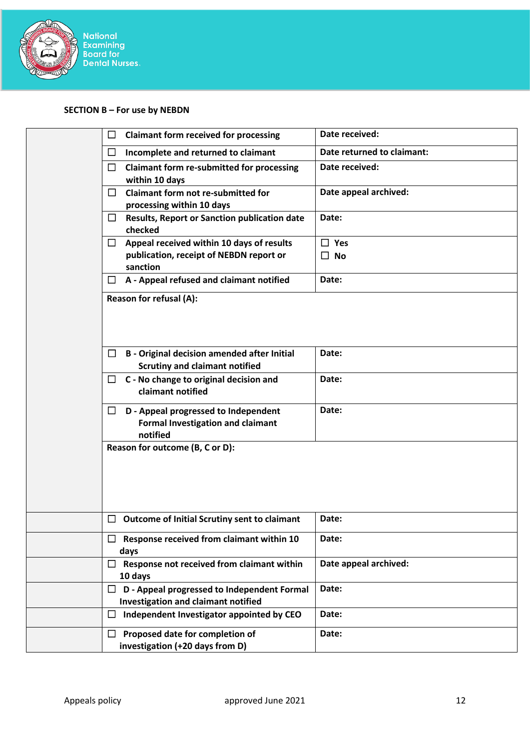

# **SECTION B – For use by NEBDN**

| <b>Claimant form received for processing</b><br>$\Box$                                                     | Date received:                    |
|------------------------------------------------------------------------------------------------------------|-----------------------------------|
| $\Box$<br>Incomplete and returned to claimant                                                              | Date returned to claimant:        |
| □<br><b>Claimant form re-submitted for processing</b><br>within 10 days                                    | Date received:                    |
| <b>Claimant form not re-submitted for</b><br>$\Box$<br>processing within 10 days                           | Date appeal archived:             |
| <b>Results, Report or Sanction publication date</b><br>$\Box$<br>checked                                   | Date:                             |
| Appeal received within 10 days of results<br>$\Box$<br>publication, receipt of NEBDN report or<br>sanction | $\Box$ Yes<br>$\Box$<br><b>No</b> |
| A - Appeal refused and claimant notified<br>□                                                              | Date:                             |
| Reason for refusal (A):                                                                                    |                                   |
| <b>B</b> - Original decision amended after Initial<br>$\Box$<br><b>Scrutiny and claimant notified</b>      | Date:                             |
| C - No change to original decision and<br>ப<br>claimant notified                                           | Date:                             |
| D - Appeal progressed to Independent<br>⊔<br><b>Formal Investigation and claimant</b><br>notified          | Date:                             |
| Reason for outcome (B, C or D):                                                                            |                                   |
|                                                                                                            |                                   |
| <b>Outcome of Initial Scrutiny sent to claimant</b><br>Ц                                                   | Date:                             |
| Response received from claimant within 10<br>$\Box$<br>days                                                | Date:                             |
| Response not received from claimant within<br>$\Box$<br>10 days                                            | Date appeal archived:             |
| D - Appeal progressed to Independent Formal<br>ப<br><b>Investigation and claimant notified</b>             | Date:                             |
| Independent Investigator appointed by CEO<br>$\Box$                                                        | Date:                             |
| Proposed date for completion of<br>$\Box$<br>investigation (+20 days from D)                               | Date:                             |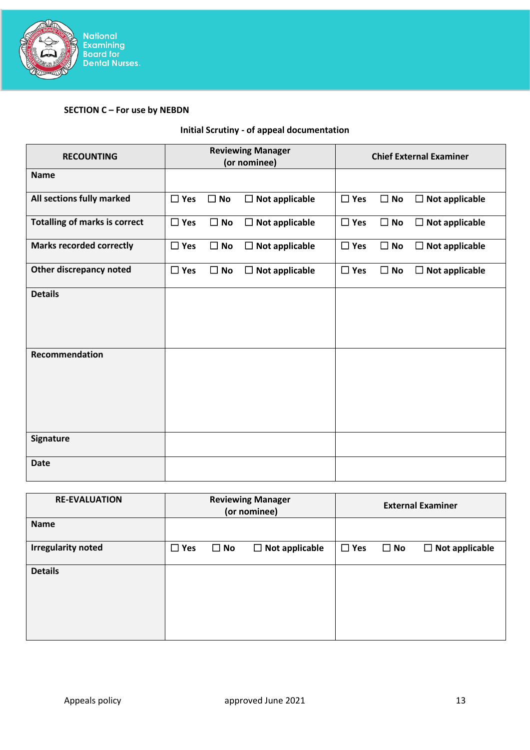

# **SECTION C – For use by NEBDN**

# **Initial Scrutiny - of appeal documentation**

| <b>RECOUNTING</b>                    | <b>Reviewing Manager</b><br>(or nominee)               | <b>Chief External Examiner</b>                             |  |
|--------------------------------------|--------------------------------------------------------|------------------------------------------------------------|--|
| <b>Name</b>                          |                                                        |                                                            |  |
| All sections fully marked            | $\square$ Yes<br>$\square$ No<br>$\Box$ Not applicable | $\square$ Yes<br>$\Box$ No<br>$\Box$ Not applicable        |  |
| <b>Totalling of marks is correct</b> | $\Box$ Yes<br>$\Box$ Not applicable<br>$\square$ No    | $\Box$ Yes<br>$\square$ No<br>$\Box$ Not applicable        |  |
| <b>Marks recorded correctly</b>      | $\Box$ Yes<br>$\Box$ No<br>$\Box$ Not applicable       | $\Box$ Yes<br><b>No</b><br>$\Box$<br>$\Box$ Not applicable |  |
| Other discrepancy noted              | $\square$ Yes<br>$\square$ No<br>$\Box$ Not applicable | $\square$ Yes<br>$\square$ No<br>$\Box$ Not applicable     |  |
| <b>Details</b>                       |                                                        |                                                            |  |
| Recommendation                       |                                                        |                                                            |  |
| <b>Signature</b>                     |                                                        |                                                            |  |
| <b>Date</b>                          |                                                        |                                                            |  |

| <b>RE-EVALUATION</b>      | <b>Reviewing Manager</b><br>(or nominee) |              |                       |            | <b>External Examiner</b> |                       |
|---------------------------|------------------------------------------|--------------|-----------------------|------------|--------------------------|-----------------------|
| <b>Name</b>               |                                          |              |                       |            |                          |                       |
| <b>Irregularity noted</b> | $\square$ Yes                            | $\square$ No | $\Box$ Not applicable | $\Box$ Yes | $\square$ No             | $\Box$ Not applicable |
| <b>Details</b>            |                                          |              |                       |            |                          |                       |